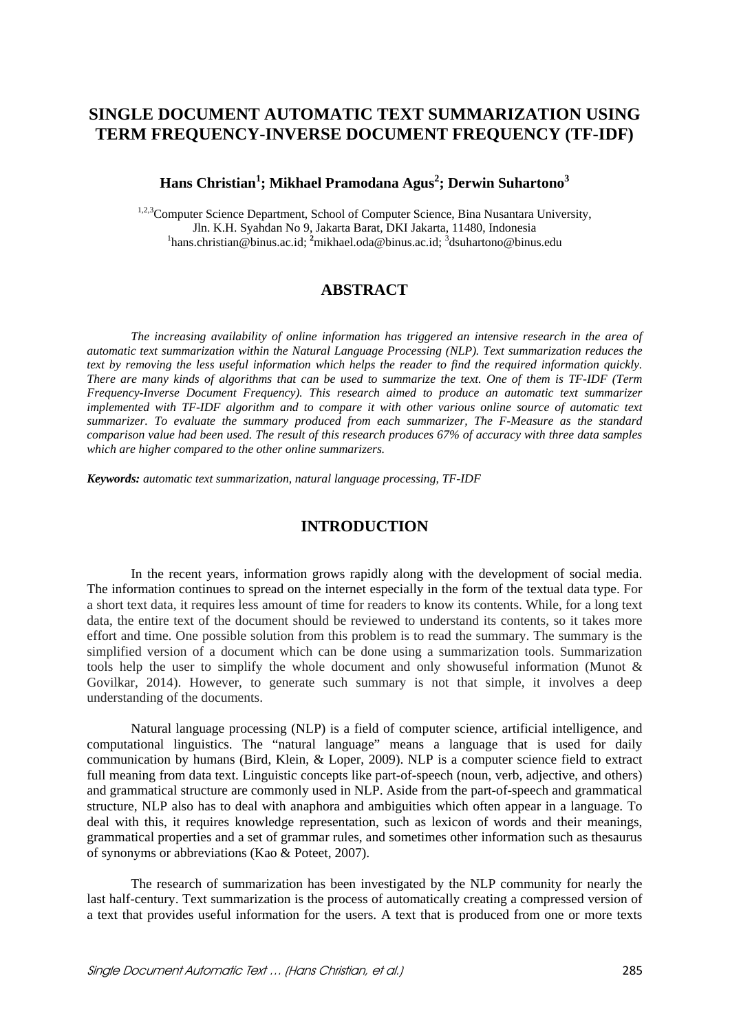# **SINGLE DOCUMENT AUTOMATIC TEXT SUMMARIZATION USING TERM FREQUENCY-INVERSE DOCUMENT FREQUENCY (TF-IDF)**

 ${\bf Hans}$  Christian<sup>1</sup>; Mikhael Pramodana Agus<sup>2</sup>; Derwin Suhartono<sup>3</sup>

<sup>1,2,3</sup>Computer Science Department, School of Computer Science, Bina Nusantara University, Jln. K.H. Syahdan No 9, Jakarta Barat, DKI Jakarta, 11480, Indonesia<br><sup>1</sup>hans.christian@binus.ac.id; <sup>2</sup>mikhael.oda@binus.ac.id; <sup>3</sup>dsuhartono@binus.edu

## **ABSTRACT**

*The increasing availability of online information has triggered an intensive research in the area of automatic text summarization within the Natural Language Processing (NLP). Text summarization reduces the text by removing the less useful information which helps the reader to find the required information quickly. There are many kinds of algorithms that can be used to summarize the text. One of them is TF-IDF (Term Frequency-Inverse Document Frequency). This research aimed to produce an automatic text summarizer implemented with TF-IDF algorithm and to compare it with other various online source of automatic text summarizer. To evaluate the summary produced from each summarizer, The F-Measure as the standard comparison value had been used. The result of this research produces 67% of accuracy with three data samples which are higher compared to the other online summarizers.* 

*Keywords: automatic text summarization, natural language processing, TF-IDF*

## **INTRODUCTION**

In the recent years, information grows rapidly along with the development of social media. The information continues to spread on the internet especially in the form of the textual data type. For a short text data, it requires less amount of time for readers to know its contents. While, for a long text data, the entire text of the document should be reviewed to understand its contents, so it takes more effort and time. One possible solution from this problem is to read the summary. The summary is the simplified version of a document which can be done using a summarization tools. Summarization tools help the user to simplify the whole document and only showuseful information (Munot & Govilkar, 2014). However, to generate such summary is not that simple, it involves a deep understanding of the documents.

Natural language processing (NLP) is a field of computer science, artificial intelligence, and computational linguistics. The "natural language" means a language that is used for daily communication by humans (Bird, Klein, & Loper, 2009). NLP is a computer science field to extract full meaning from data text. Linguistic concepts like part-of-speech (noun, verb, adjective, and others) and grammatical structure are commonly used in NLP. Aside from the part-of-speech and grammatical structure, NLP also has to deal with anaphora and ambiguities which often appear in a language. To deal with this, it requires knowledge representation, such as lexicon of words and their meanings, grammatical properties and a set of grammar rules, and sometimes other information such as thesaurus of synonyms or abbreviations (Kao & Poteet, 2007).

The research of summarization has been investigated by the NLP community for nearly the last half-century. Text summarization is the process of automatically creating a compressed version of a text that provides useful information for the users. A text that is produced from one or more texts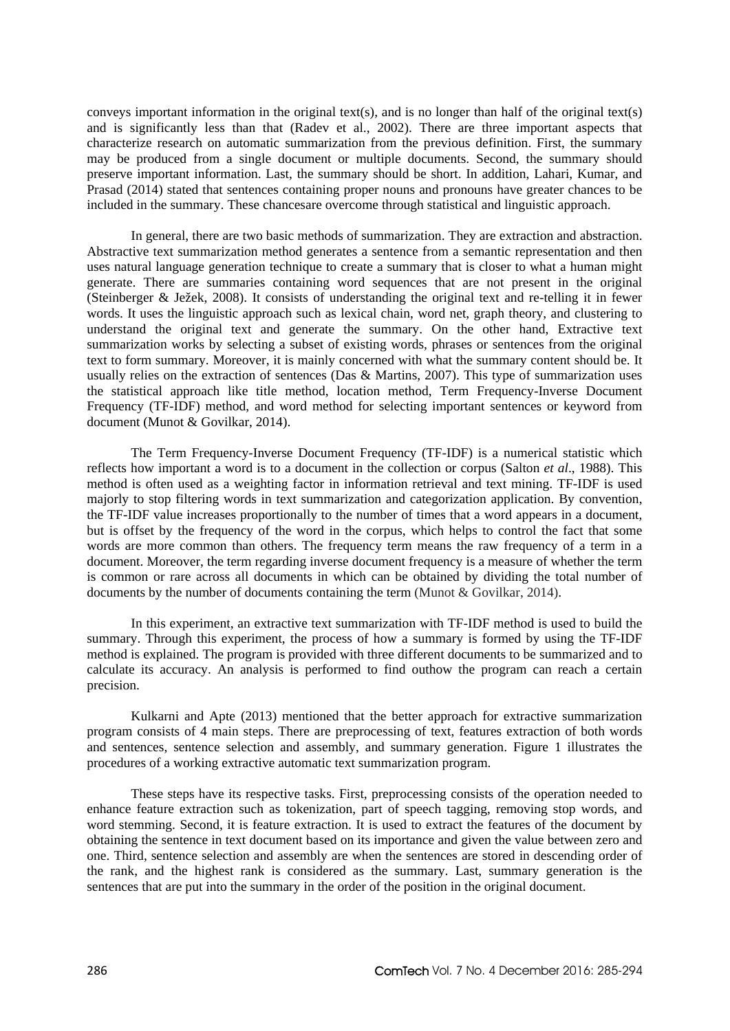conveys important information in the original text(s), and is no longer than half of the original text(s) and is significantly less than that (Radev et al., 2002). There are three important aspects that characterize research on automatic summarization from the previous definition. First, the summary may be produced from a single document or multiple documents. Second, the summary should preserve important information. Last, the summary should be short. In addition, Lahari, Kumar, and Prasad (2014) stated that sentences containing proper nouns and pronouns have greater chances to be included in the summary. These chancesare overcome through statistical and linguistic approach.

In general, there are two basic methods of summarization. They are extraction and abstraction. Abstractive text summarization method generates a sentence from a semantic representation and then uses natural language generation technique to create a summary that is closer to what a human might generate. There are summaries containing word sequences that are not present in the original (Steinberger & Ježek, 2008). It consists of understanding the original text and re-telling it in fewer words. It uses the linguistic approach such as lexical chain, word net, graph theory, and clustering to understand the original text and generate the summary. On the other hand, Extractive text summarization works by selecting a subset of existing words, phrases or sentences from the original text to form summary. Moreover, it is mainly concerned with what the summary content should be. It usually relies on the extraction of sentences (Das & Martins, 2007). This type of summarization uses the statistical approach like title method, location method, Term Frequency-Inverse Document Frequency (TF-IDF) method, and word method for selecting important sentences or keyword from document (Munot & Govilkar, 2014).

The Term Frequency-Inverse Document Frequency (TF-IDF) is a numerical statistic which reflects how important a word is to a document in the collection or corpus (Salton *et al*., 1988). This method is often used as a weighting factor in information retrieval and text mining. TF-IDF is used majorly to stop filtering words in text summarization and categorization application. By convention, the TF-IDF value increases proportionally to the number of times that a word appears in a document, but is offset by the frequency of the word in the corpus, which helps to control the fact that some words are more common than others. The frequency term means the raw frequency of a term in a document. Moreover, the term regarding inverse document frequency is a measure of whether the term is common or rare across all documents in which can be obtained by dividing the total number of documents by the number of documents containing the term (Munot & Govilkar, 2014).

In this experiment, an extractive text summarization with TF-IDF method is used to build the summary. Through this experiment, the process of how a summary is formed by using the TF-IDF method is explained. The program is provided with three different documents to be summarized and to calculate its accuracy. An analysis is performed to find outhow the program can reach a certain precision.

Kulkarni and Apte (2013) mentioned that the better approach for extractive summarization program consists of 4 main steps. There are preprocessing of text, features extraction of both words and sentences, sentence selection and assembly, and summary generation. Figure 1 illustrates the procedures of a working extractive automatic text summarization program.

These steps have its respective tasks. First, preprocessing consists of the operation needed to enhance feature extraction such as tokenization, part of speech tagging, removing stop words, and word stemming. Second, it is feature extraction. It is used to extract the features of the document by obtaining the sentence in text document based on its importance and given the value between zero and one. Third, sentence selection and assembly are when the sentences are stored in descending order of the rank, and the highest rank is considered as the summary. Last, summary generation is the sentences that are put into the summary in the order of the position in the original document.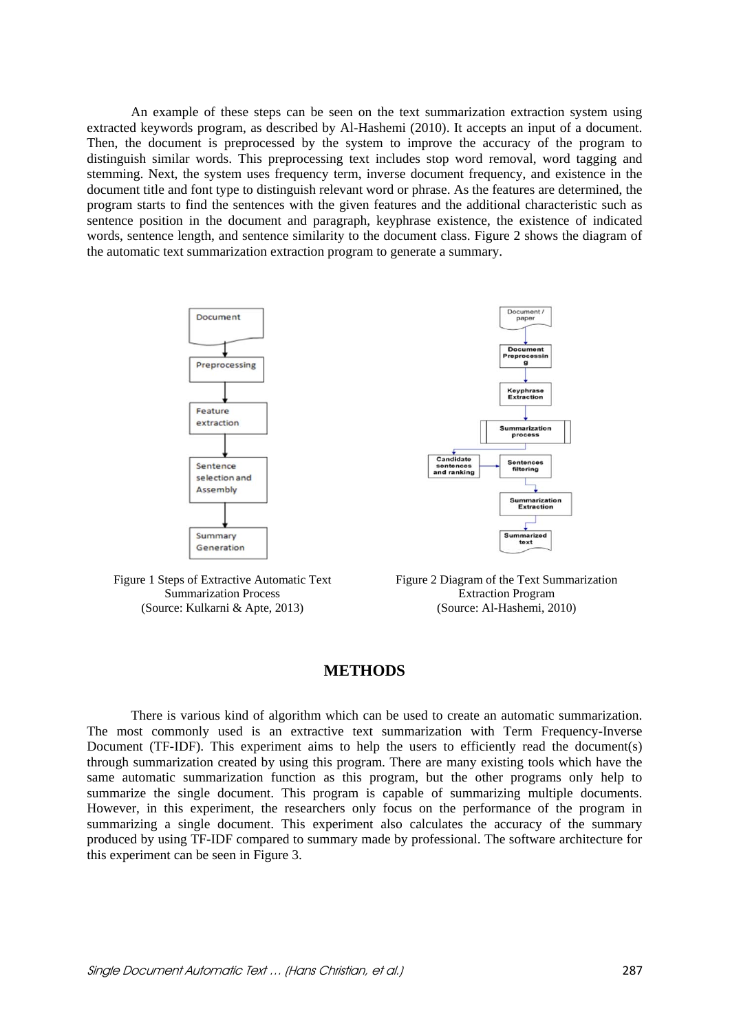An example of these steps can be seen on the text summarization extraction system using extracted keywords program, as described by Al-Hashemi (2010). It accepts an input of a document. Then, the document is preprocessed by the system to improve the accuracy of the program to distinguish similar words. This preprocessing text includes stop word removal, word tagging and stemming. Next, the system uses frequency term, inverse document frequency, and existence in the document title and font type to distinguish relevant word or phrase. As the features are determined, the program starts to find the sentences with the given features and the additional characteristic such as sentence position in the document and paragraph, keyphrase existence, the existence of indicated words, sentence length, and sentence similarity to the document class. Figure 2 shows the diagram of the automatic text summarization extraction program to generate a summary.



Figure 1 Steps of Extractive Automatic Text Summarization Process (Source: Kulkarni & Apte, 2013)

Figure 2 Diagram of the Text Summarization Extraction Program (Source: Al-Hashemi, 2010)

## **METHODS**

There is various kind of algorithm which can be used to create an automatic summarization. The most commonly used is an extractive text summarization with Term Frequency-Inverse Document (TF-IDF). This experiment aims to help the users to efficiently read the document(s) through summarization created by using this program. There are many existing tools which have the same automatic summarization function as this program, but the other programs only help to summarize the single document. This program is capable of summarizing multiple documents. However, in this experiment, the researchers only focus on the performance of the program in summarizing a single document. This experiment also calculates the accuracy of the summary produced by using TF-IDF compared to summary made by professional. The software architecture for this experiment can be seen in Figure 3.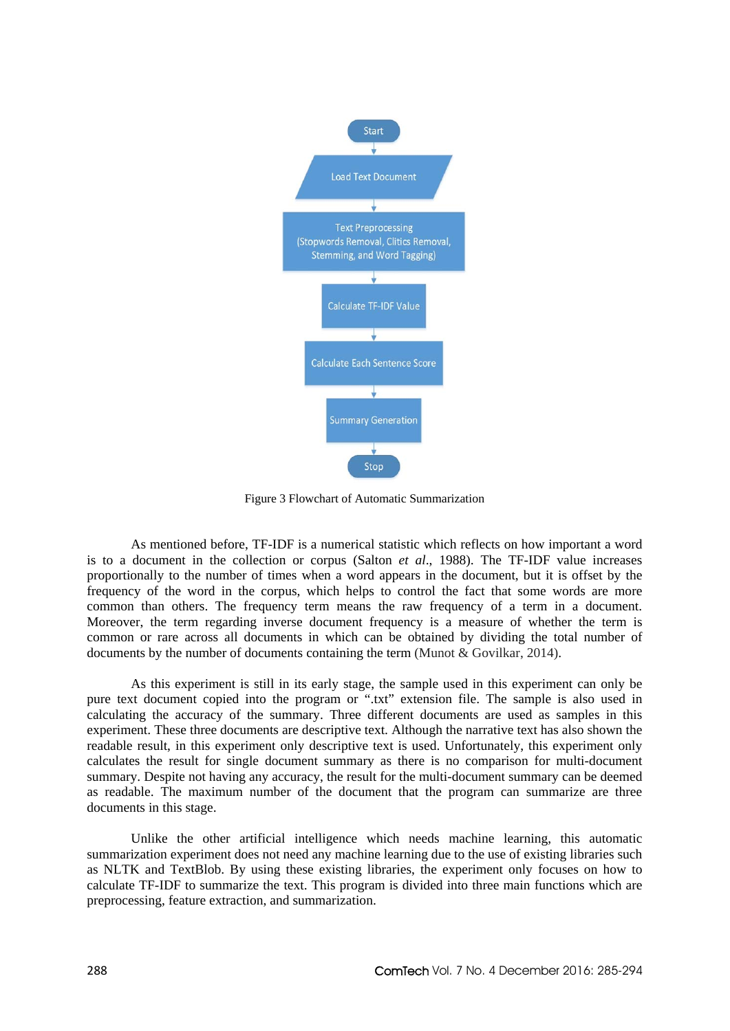

Figure 3 Flowchart of Automatic Summarization

As mentioned before, TF-IDF is a numerical statistic which reflects on how important a word is to a document in the collection or corpus (Salton *et al*., 1988). The TF-IDF value increases proportionally to the number of times when a word appears in the document, but it is offset by the frequency of the word in the corpus, which helps to control the fact that some words are more common than others. The frequency term means the raw frequency of a term in a document. Moreover, the term regarding inverse document frequency is a measure of whether the term is common or rare across all documents in which can be obtained by dividing the total number of documents by the number of documents containing the term (Munot & Govilkar, 2014).

As this experiment is still in its early stage, the sample used in this experiment can only be pure text document copied into the program or ".txt" extension file. The sample is also used in calculating the accuracy of the summary. Three different documents are used as samples in this experiment. These three documents are descriptive text. Although the narrative text has also shown the readable result, in this experiment only descriptive text is used. Unfortunately, this experiment only calculates the result for single document summary as there is no comparison for multi-document summary. Despite not having any accuracy, the result for the multi-document summary can be deemed as readable. The maximum number of the document that the program can summarize are three documents in this stage.

Unlike the other artificial intelligence which needs machine learning, this automatic summarization experiment does not need any machine learning due to the use of existing libraries such as NLTK and TextBlob. By using these existing libraries, the experiment only focuses on how to calculate TF-IDF to summarize the text. This program is divided into three main functions which are preprocessing, feature extraction, and summarization.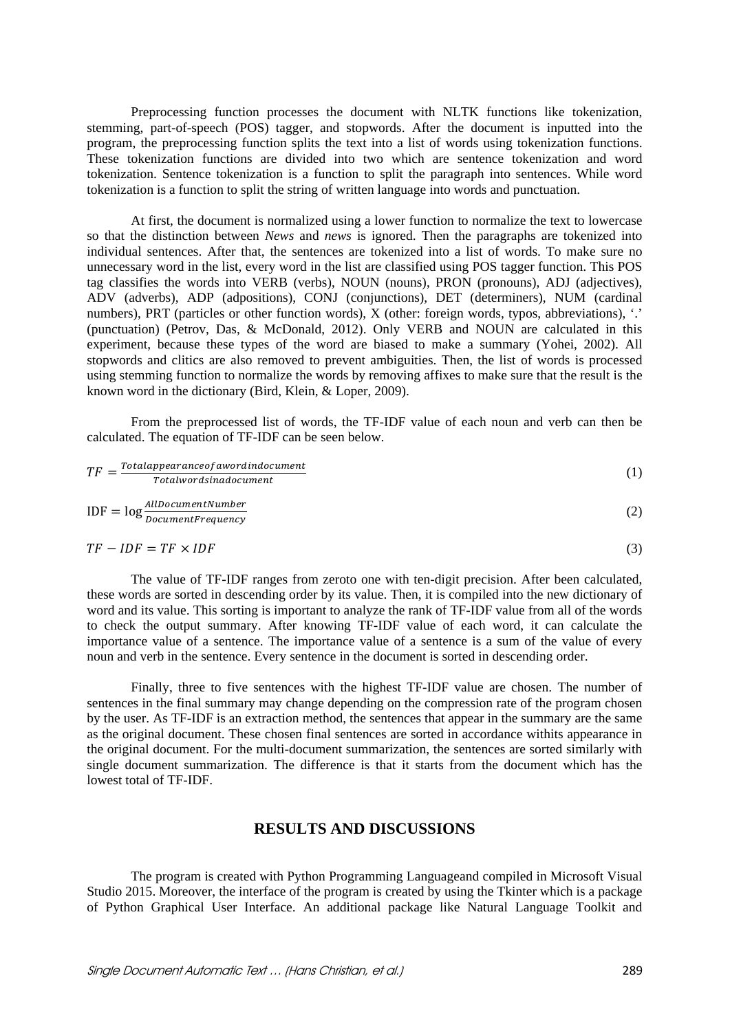Preprocessing function processes the document with NLTK functions like tokenization, stemming, part-of-speech (POS) tagger, and stopwords. After the document is inputted into the program, the preprocessing function splits the text into a list of words using tokenization functions. These tokenization functions are divided into two which are sentence tokenization and word tokenization. Sentence tokenization is a function to split the paragraph into sentences. While word tokenization is a function to split the string of written language into words and punctuation.

At first, the document is normalized using a lower function to normalize the text to lowercase so that the distinction between *News* and *news* is ignored. Then the paragraphs are tokenized into individual sentences. After that, the sentences are tokenized into a list of words. To make sure no unnecessary word in the list, every word in the list are classified using POS tagger function. This POS tag classifies the words into VERB (verbs), NOUN (nouns), PRON (pronouns), ADJ (adjectives), ADV (adverbs), ADP (adpositions), CONJ (conjunctions), DET (determiners), NUM (cardinal numbers), PRT (particles or other function words), X (other: foreign words, typos, abbreviations), '.' (punctuation) (Petrov, Das, & McDonald, 2012). Only VERB and NOUN are calculated in this experiment, because these types of the word are biased to make a summary (Yohei, 2002). All stopwords and clitics are also removed to prevent ambiguities. Then, the list of words is processed using stemming function to normalize the words by removing affixes to make sure that the result is the known word in the dictionary (Bird, Klein, & Loper, 2009).

From the preprocessed list of words, the TF-IDF value of each noun and verb can then be calculated. The equation of TF-IDF can be seen below.

$$
TF = \frac{Total appearance of a word in document}{Total words in a document}
$$
\n
$$
IDF = \log \frac{AllDocument}{}
$$
\n(1)

$$
IDF = log \frac{anpotential number}{DocumentFrequency}
$$
 (2)

$$
TF - IDF = TF \times IDF \tag{3}
$$

The value of TF-IDF ranges from zeroto one with ten-digit precision. After been calculated, these words are sorted in descending order by its value. Then, it is compiled into the new dictionary of word and its value. This sorting is important to analyze the rank of TF-IDF value from all of the words to check the output summary. After knowing TF-IDF value of each word, it can calculate the importance value of a sentence. The importance value of a sentence is a sum of the value of every noun and verb in the sentence. Every sentence in the document is sorted in descending order.

Finally, three to five sentences with the highest TF-IDF value are chosen. The number of sentences in the final summary may change depending on the compression rate of the program chosen by the user. As TF-IDF is an extraction method, the sentences that appear in the summary are the same as the original document. These chosen final sentences are sorted in accordance withits appearance in the original document. For the multi-document summarization, the sentences are sorted similarly with single document summarization. The difference is that it starts from the document which has the lowest total of TF-IDF.

## **RESULTS AND DISCUSSIONS**

The program is created with Python Programming Languageand compiled in Microsoft Visual Studio 2015. Moreover, the interface of the program is created by using the Tkinter which is a package of Python Graphical User Interface. An additional package like Natural Language Toolkit and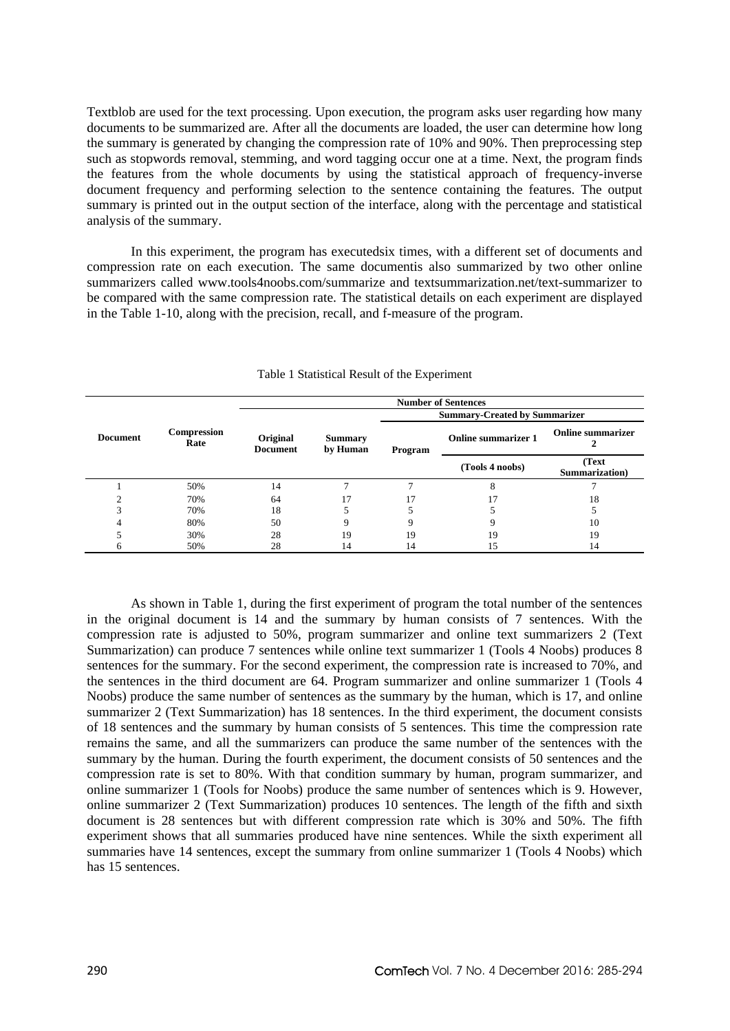Textblob are used for the text processing. Upon execution, the program asks user regarding how many documents to be summarized are. After all the documents are loaded, the user can determine how long the summary is generated by changing the compression rate of 10% and 90%. Then preprocessing step such as stopwords removal, stemming, and word tagging occur one at a time. Next, the program finds the features from the whole documents by using the statistical approach of frequency-inverse document frequency and performing selection to the sentence containing the features. The output summary is printed out in the output section of the interface, along with the percentage and statistical analysis of the summary.

In this experiment, the program has executedsix times, with a different set of documents and compression rate on each execution. The same documentis also summarized by two other online summarizers called www.tools4noobs.com/summarize and textsummarization.net/text-summarizer to be compared with the same compression rate. The statistical details on each experiment are displayed in the Table 1-10, along with the precision, recall, and f-measure of the program.

|                 |                            | <b>Number of Sentences</b>  |                            |                                      |                            |                          |  |  |  |
|-----------------|----------------------------|-----------------------------|----------------------------|--------------------------------------|----------------------------|--------------------------|--|--|--|
|                 |                            |                             |                            | <b>Summary-Created by Summarizer</b> |                            |                          |  |  |  |
| <b>Document</b> | <b>Compression</b><br>Rate | Original<br><b>Document</b> | <b>Summary</b><br>by Human | Program                              | <b>Online summarizer 1</b> | <b>Online summarizer</b> |  |  |  |
|                 |                            |                             |                            |                                      | (Tools 4 noobs)            | (Text)<br>Summarization) |  |  |  |
|                 | 50%                        | 14                          |                            |                                      | 8                          |                          |  |  |  |
|                 | 70%                        | 64                          |                            |                                      |                            | 18                       |  |  |  |
|                 | 70%                        | 18                          |                            |                                      |                            |                          |  |  |  |
|                 | 80%                        | 50                          |                            |                                      |                            | 10                       |  |  |  |
|                 | 30%                        | 28                          | 19                         | 19                                   | 19                         | 19                       |  |  |  |
| h               | 50%                        | 28                          | 14                         | 14                                   | 15                         | 14                       |  |  |  |

#### Table 1 Statistical Result of the Experiment

As shown in Table 1, during the first experiment of program the total number of the sentences in the original document is 14 and the summary by human consists of 7 sentences. With the compression rate is adjusted to 50%, program summarizer and online text summarizers 2 (Text Summarization) can produce 7 sentences while online text summarizer 1 (Tools 4 Noobs) produces 8 sentences for the summary. For the second experiment, the compression rate is increased to 70%, and the sentences in the third document are 64. Program summarizer and online summarizer 1 (Tools 4 Noobs) produce the same number of sentences as the summary by the human, which is 17, and online summarizer 2 (Text Summarization) has 18 sentences. In the third experiment, the document consists of 18 sentences and the summary by human consists of 5 sentences. This time the compression rate remains the same, and all the summarizers can produce the same number of the sentences with the summary by the human. During the fourth experiment, the document consists of 50 sentences and the compression rate is set to 80%. With that condition summary by human, program summarizer, and online summarizer 1 (Tools for Noobs) produce the same number of sentences which is 9. However, online summarizer 2 (Text Summarization) produces 10 sentences. The length of the fifth and sixth document is 28 sentences but with different compression rate which is 30% and 50%. The fifth experiment shows that all summaries produced have nine sentences. While the sixth experiment all summaries have 14 sentences, except the summary from online summarizer 1 (Tools 4 Noobs) which has 15 sentences.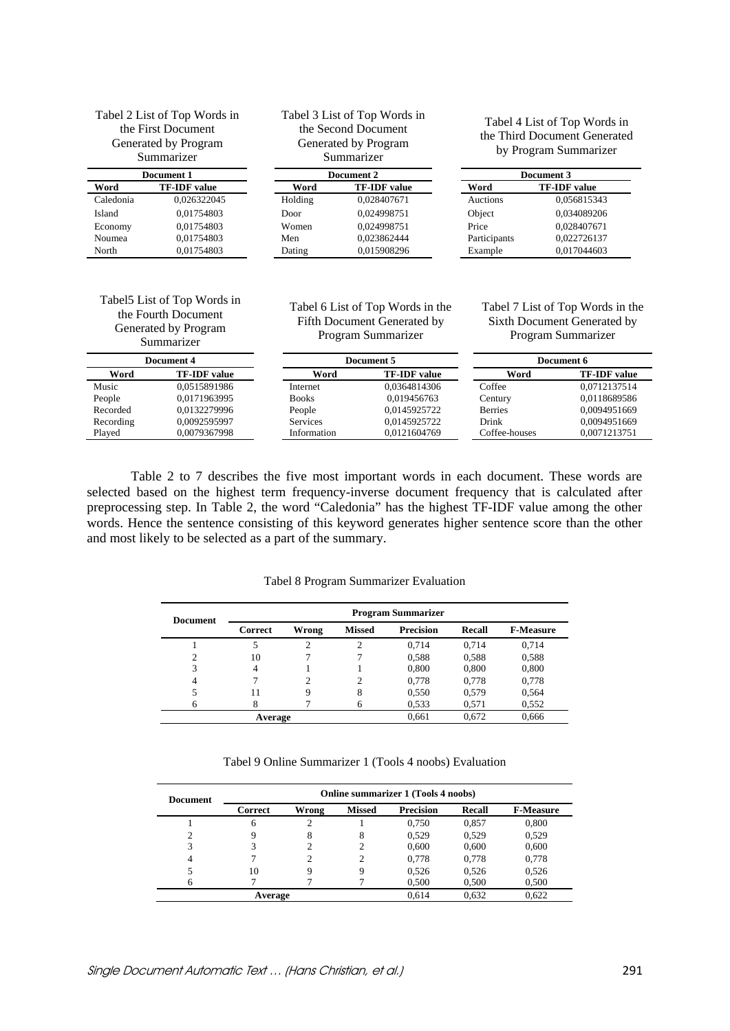| Tabel 2 List of Top Words in<br>the First Document<br>Generated by Program<br>Summarizer |                     |         | Tabel 3 List of Top Words in<br>the Second Document<br>Generated by Program<br>Summarizer | Tabel 4 List of Top Words in<br>the Third Document Generated<br>by Program Summarizer |                     |  |
|------------------------------------------------------------------------------------------|---------------------|---------|-------------------------------------------------------------------------------------------|---------------------------------------------------------------------------------------|---------------------|--|
| Document 1                                                                               |                     |         | Document 2                                                                                | Document 3                                                                            |                     |  |
| Word                                                                                     | <b>TF-IDF</b> value | Word    | <b>TF-IDF</b> value                                                                       | Word                                                                                  | <b>TF-IDF</b> value |  |
| Caledonia                                                                                | 0.026322045         | Holding | 0,028407671                                                                               | Auctions                                                                              | 0,056815343         |  |
| Island                                                                                   | 0,01754803          | Door    | 0.024998751                                                                               | Object                                                                                | 0.034089206         |  |
| Economy                                                                                  | 0,01754803          | Women   | 0.024998751                                                                               | Price                                                                                 | 0.028407671         |  |
| Noumea                                                                                   | 0,01754803          | Men     | 0.023862444                                                                               | Participants                                                                          | 0,022726137         |  |
| North                                                                                    | 0.01754803          | Dating  | 0,015908296                                                                               | Example                                                                               | 0,017044603         |  |

### Tabel5 List of Top Words in the Fourth Document Generated by Program Summarizer

Tabel 6 List of Top Words in the Fifth Document Generated by Program Summarizer

Tabel 7 List of Top Words in the Sixth Document Generated by Program Summarizer

| Document 4 |                     |              | Document 5          |                | Document 6          |  |
|------------|---------------------|--------------|---------------------|----------------|---------------------|--|
| Word       | <b>TF-IDF</b> value | Word         | <b>TF-IDF</b> value | Word           | <b>TF-IDF</b> value |  |
| Music      | 0.0515891986        | Internet     | 0.0364814306        | Coffee         | 0.0712137514        |  |
| People     | 0.0171963995        | <b>Books</b> | 0.019456763         | Century        | 0.0118689586        |  |
| Recorded   | 0.0132279996        | People       | 0.0145925722        | <b>Berries</b> | 0.0094951669        |  |
| Recording  | 0.0092595997        | Services     | 0.0145925722        | Drink          | 0.0094951669        |  |
| Played     | 0.0079367998        | Information  | 0.0121604769        | Coffee-houses  | 0.0071213751        |  |

Table 2 to 7 describes the five most important words in each document. These words are selected based on the highest term frequency-inverse document frequency that is calculated after preprocessing step. In Table 2, the word "Caledonia" has the highest TF-IDF value among the other words. Hence the sentence consisting of this keyword generates higher sentence score than the other and most likely to be selected as a part of the summary.

Tabel 8 Program Summarizer Evaluation

| <b>Document</b> | <b>Program Summarizer</b> |       |               |                  |        |                  |  |
|-----------------|---------------------------|-------|---------------|------------------|--------|------------------|--|
|                 | Correct                   | Wrong | <b>Missed</b> | <b>Precision</b> | Recall | <b>F-Measure</b> |  |
|                 |                           |       | 2             | 0.714            | 0.714  | 0,714            |  |
| 2               | 10                        |       |               | 0,588            | 0,588  | 0,588            |  |
| 3               | 4                         |       |               | 0,800            | 0,800  | 0,800            |  |
| 4               |                           |       | 2             | 0,778            | 0,778  | 0,778            |  |
|                 | 11                        | 9     | 8             | 0,550            | 0,579  | 0,564            |  |
|                 |                           |       | 6             | 0.533            | 0,571  | 0,552            |  |
|                 | Average                   |       |               |                  | 0.672  | 0,666            |  |

Tabel 9 Online Summarizer 1 (Tools 4 noobs) Evaluation

| Document | <b>Online summarizer 1 (Tools 4 noobs)</b> |       |               |                  |               |                  |  |  |
|----------|--------------------------------------------|-------|---------------|------------------|---------------|------------------|--|--|
|          | Correct                                    | Wrong | <b>Missed</b> | <b>Precision</b> | <b>Recall</b> | <b>F-Measure</b> |  |  |
|          | 6                                          | 2     |               | 0,750            | 0,857         | 0,800            |  |  |
|          |                                            | 8     | 8             | 0.529            | 0.529         | 0,529            |  |  |
|          |                                            |       |               | 0,600            | 0,600         | 0,600            |  |  |
| 4        |                                            |       |               | 0,778            | 0,778         | 0,778            |  |  |
|          | 10                                         | 9     | 9             | 0,526            | 0,526         | 0,526            |  |  |
|          |                                            |       |               | 0,500            | 0,500         | 0,500            |  |  |
| Average  |                                            |       |               | 0.614            | 0,632         | 0,622            |  |  |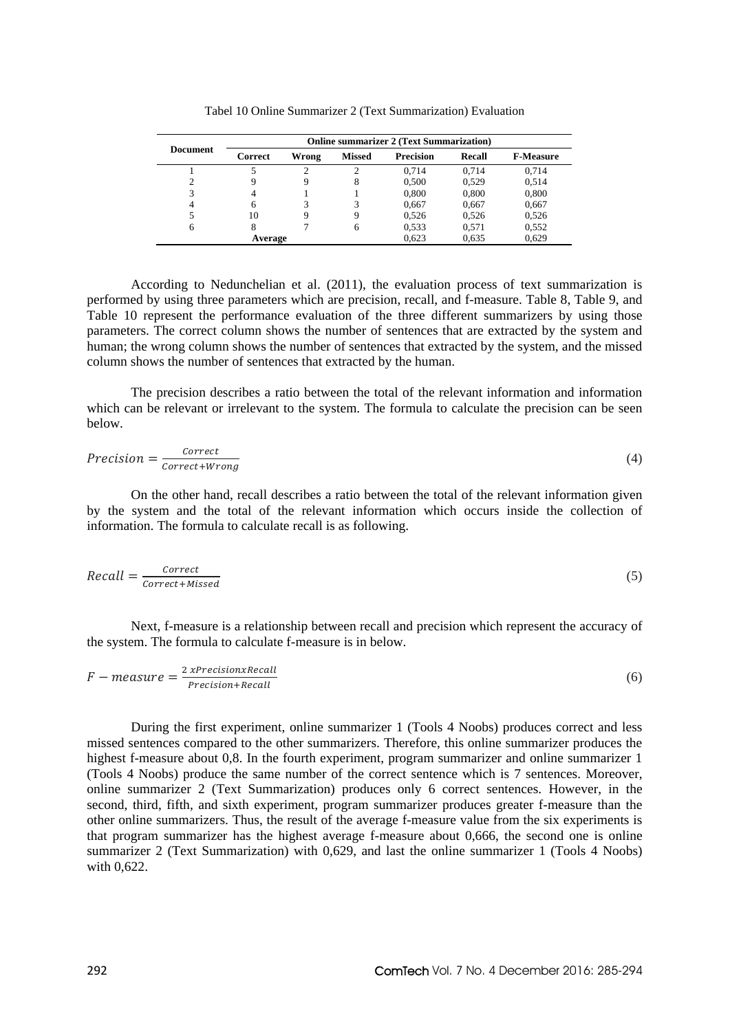| <b>Document</b> | <b>Online summarizer 2 (Text Summarization)</b> |       |               |                  |        |                  |  |  |
|-----------------|-------------------------------------------------|-------|---------------|------------------|--------|------------------|--|--|
|                 | Correct                                         | Wrong | <b>Missed</b> | <b>Precision</b> | Recall | <b>F-Measure</b> |  |  |
|                 |                                                 | ↑     |               | 0.714            | 0.714  | 0,714            |  |  |
| ↑               |                                                 | 9     | 8             | 0,500            | 0.529  | 0,514            |  |  |
| 3               | 4                                               |       |               | 0,800            | 0,800  | 0,800            |  |  |
|                 |                                                 |       | 3             | 0,667            | 0,667  | 0,667            |  |  |
|                 | 10                                              | 9     | 9             | 0,526            | 0,526  | 0,526            |  |  |
| 6               |                                                 |       | 6             | 0,533            | 0,571  | 0,552            |  |  |
| Average         |                                                 |       |               | 0.623            | 0.635  | 0,629            |  |  |

Tabel 10 Online Summarizer 2 (Text Summarization) Evaluation

According to Nedunchelian et al. (2011), the evaluation process of text summarization is performed by using three parameters which are precision, recall, and f-measure. Table 8, Table 9, and Table 10 represent the performance evaluation of the three different summarizers by using those parameters. The correct column shows the number of sentences that are extracted by the system and human; the wrong column shows the number of sentences that extracted by the system, and the missed column shows the number of sentences that extracted by the human.

The precision describes a ratio between the total of the relevant information and information which can be relevant or irrelevant to the system. The formula to calculate the precision can be seen below.

$$
Precision = \frac{Correct}{Correct + Wrong} \tag{4}
$$

On the other hand, recall describes a ratio between the total of the relevant information given by the system and the total of the relevant information which occurs inside the collection of information. The formula to calculate recall is as following.

$$
Recall = \frac{Correct}{Correct + Missed}
$$
 (5)

Next, f-measure is a relationship between recall and precision which represent the accuracy of the system. The formula to calculate f-measure is in below.

$$
F-measure = \frac{2 \, x \, Precision \, x \, Recall}{Precision + Recall} \tag{6}
$$

During the first experiment, online summarizer 1 (Tools 4 Noobs) produces correct and less missed sentences compared to the other summarizers. Therefore, this online summarizer produces the highest f-measure about 0,8. In the fourth experiment, program summarizer and online summarizer 1 (Tools 4 Noobs) produce the same number of the correct sentence which is 7 sentences. Moreover, online summarizer 2 (Text Summarization) produces only 6 correct sentences. However, in the second, third, fifth, and sixth experiment, program summarizer produces greater f-measure than the other online summarizers. Thus, the result of the average f-measure value from the six experiments is that program summarizer has the highest average f-measure about 0,666, the second one is online summarizer 2 (Text Summarization) with 0,629, and last the online summarizer 1 (Tools 4 Noobs) with 0,622.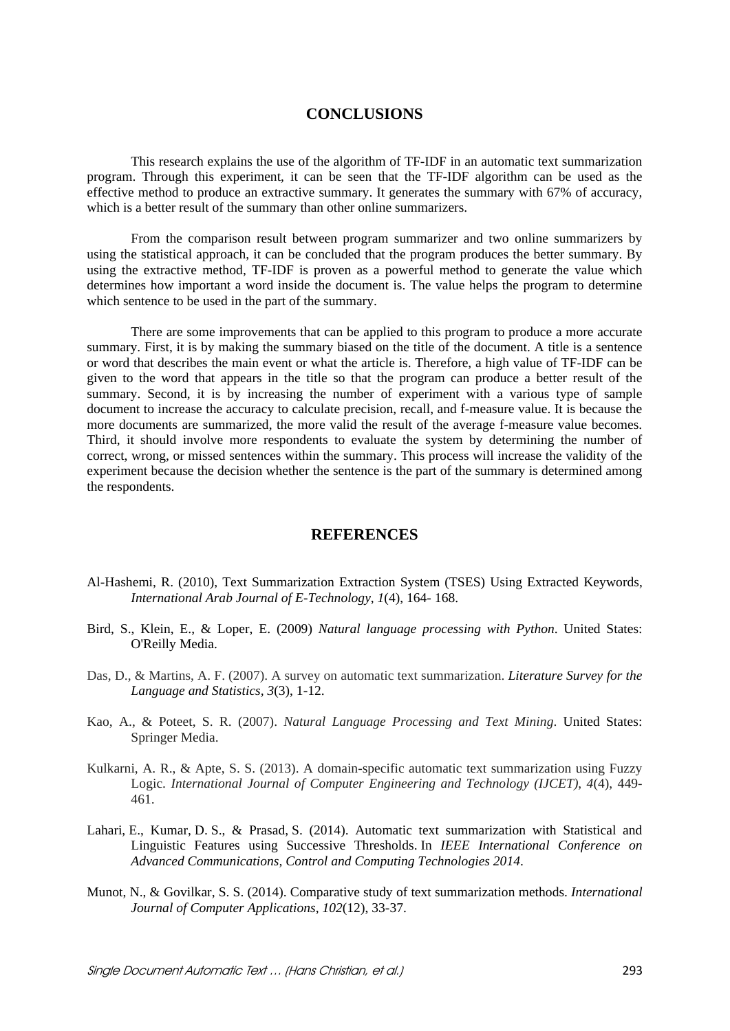## **CONCLUSIONS**

This research explains the use of the algorithm of TF-IDF in an automatic text summarization program. Through this experiment, it can be seen that the TF-IDF algorithm can be used as the effective method to produce an extractive summary. It generates the summary with 67% of accuracy, which is a better result of the summary than other online summarizers.

From the comparison result between program summarizer and two online summarizers by using the statistical approach, it can be concluded that the program produces the better summary. By using the extractive method, TF-IDF is proven as a powerful method to generate the value which determines how important a word inside the document is. The value helps the program to determine which sentence to be used in the part of the summary.

There are some improvements that can be applied to this program to produce a more accurate summary. First, it is by making the summary biased on the title of the document. A title is a sentence or word that describes the main event or what the article is. Therefore, a high value of TF-IDF can be given to the word that appears in the title so that the program can produce a better result of the summary. Second, it is by increasing the number of experiment with a various type of sample document to increase the accuracy to calculate precision, recall, and f-measure value. It is because the more documents are summarized, the more valid the result of the average f-measure value becomes. Third, it should involve more respondents to evaluate the system by determining the number of correct, wrong, or missed sentences within the summary. This process will increase the validity of the experiment because the decision whether the sentence is the part of the summary is determined among the respondents.

## **REFERENCES**

- Al-Hashemi, R. (2010), Text Summarization Extraction System (TSES) Using Extracted Keywords, *International Arab Journal of E-Technology*, *1*(4), 164- 168.
- Bird, S., Klein, E., & Loper, E. (2009) *Natural language processing with Python*. United States: O'Reilly Media.
- Das, D., & Martins, A. F. (2007). A survey on automatic text summarization. *Literature Survey for the Language and Statistics, 3*(3), 1-12.
- Kao, A., & Poteet, S. R. (2007). *Natural Language Processing and Text Mining*. United States: Springer Media.
- Kulkarni, A. R., & Apte, S. S. (2013). A domain-specific automatic text summarization using Fuzzy Logic. *International Journal of Computer Engineering and Technology (IJCET)*, *4*(4), 449- 461.
- Lahari, E., Kumar, D. S., & Prasad, S. (2014). Automatic text summarization with Statistical and Linguistic Features using Successive Thresholds. In *IEEE International Conference on Advanced Communications, Control and Computing Technologies 2014*.
- Munot, N., & Govilkar, S. S. (2014). Comparative study of text summarization methods. *International Journal of Computer Applications*, *102*(12), 33-37.